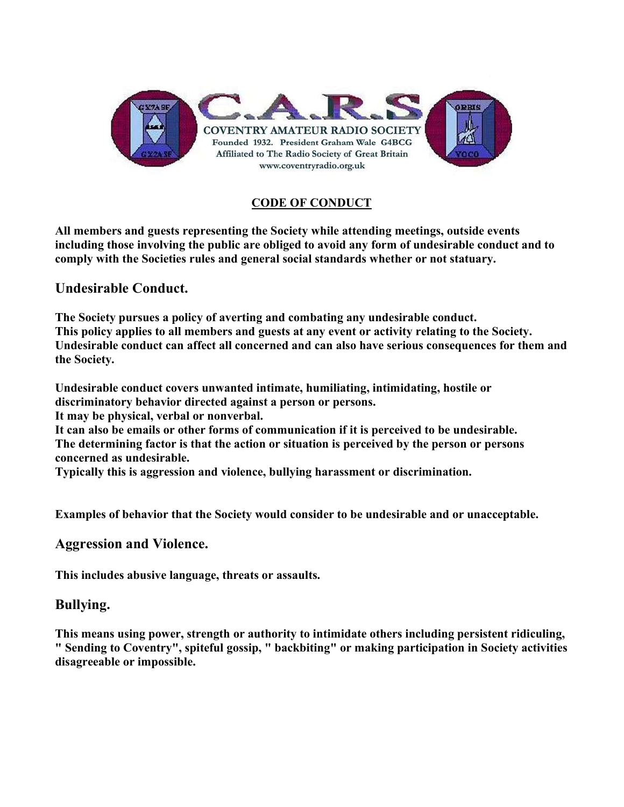

## CODE OF CONDUCT

All members and guests representing the Society while attending meetings, outside events including those involving the public are obliged to avoid any form of undesirable conduct and to comply with the Societies rules and general social standards whether or not statuary.

## Undesirable Conduct.

The Society pursues a policy of averting and combating any undesirable conduct. This policy applies to all members and guests at any event or activity relating to the Society. Undesirable conduct can affect all concerned and can also have serious consequences for them and the Society.

Undesirable conduct covers unwanted intimate, humiliating, intimidating, hostile or discriminatory behavior directed against a person or persons. It may be physical, verbal or nonverbal.

It can also be emails or other forms of communication if it is perceived to be undesirable. The determining factor is that the action or situation is perceived by the person or persons concerned as undesirable.

Typically this is aggression and violence, bullying harassment or discrimination.

Examples of behavior that the Society would consider to be undesirable and or unacceptable.

## Aggression and Violence.

This includes abusive language, threats or assaults.

# Bullying.

This means using power, strength or authority to intimidate others including persistent ridiculing, " Sending to Coventry", spiteful gossip, " backbiting" or making participation in Society activities disagreeable or impossible.